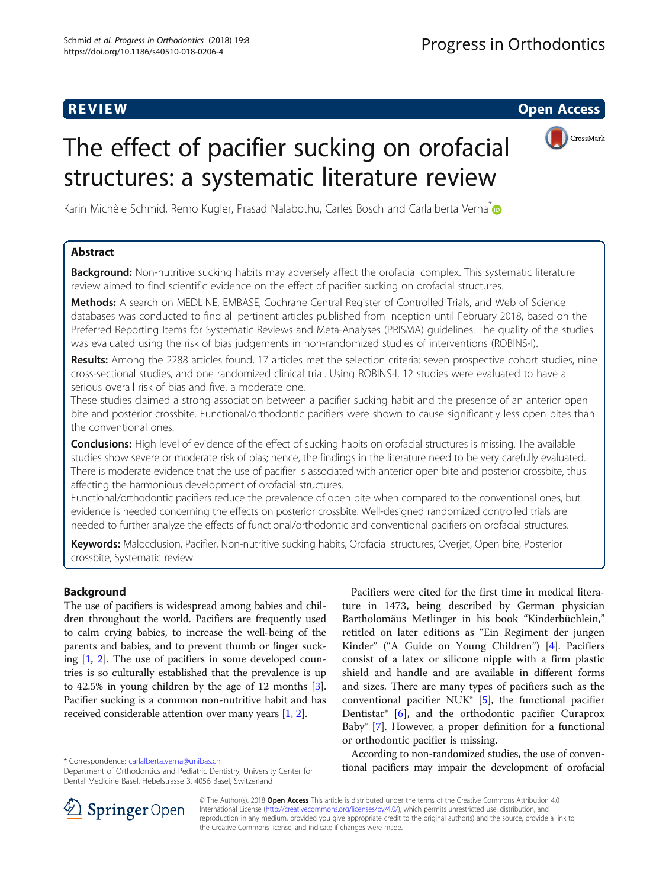**REVIEW CONSTRUCTION CONSTRUCTION CONSTRUCTS** 

CrossMark

# The effect of pacifier sucking on orofacial structures: a systematic literature review

Karin Michèle Schmid, Remo Kugler, Prasad Nalabothu, Carles Bosch and Carlalberta Verna<sup>®</sup>

## Abstract

**Background:** Non-nutritive sucking habits may adversely affect the orofacial complex. This systematic literature review aimed to find scientific evidence on the effect of pacifier sucking on orofacial structures.

Methods: A search on MEDLINE, EMBASE, Cochrane Central Register of Controlled Trials, and Web of Science databases was conducted to find all pertinent articles published from inception until February 2018, based on the Preferred Reporting Items for Systematic Reviews and Meta-Analyses (PRISMA) guidelines. The quality of the studies was evaluated using the risk of bias judgements in non-randomized studies of interventions (ROBINS-I).

Results: Among the 2288 articles found, 17 articles met the selection criteria: seven prospective cohort studies, nine cross-sectional studies, and one randomized clinical trial. Using ROBINS-I, 12 studies were evaluated to have a serious overall risk of bias and five, a moderate one.

These studies claimed a strong association between a pacifier sucking habit and the presence of an anterior open bite and posterior crossbite. Functional/orthodontic pacifiers were shown to cause significantly less open bites than the conventional ones.

**Conclusions:** High level of evidence of the effect of sucking habits on orofacial structures is missing. The available studies show severe or moderate risk of bias; hence, the findings in the literature need to be very carefully evaluated. There is moderate evidence that the use of pacifier is associated with anterior open bite and posterior crossbite, thus affecting the harmonious development of orofacial structures.

Functional/orthodontic pacifiers reduce the prevalence of open bite when compared to the conventional ones, but evidence is needed concerning the effects on posterior crossbite. Well-designed randomized controlled trials are needed to further analyze the effects of functional/orthodontic and conventional pacifiers on orofacial structures.

Keywords: Malocclusion, Pacifier, Non-nutritive sucking habits, Orofacial structures, Overjet, Open bite, Posterior crossbite, Systematic review

### Background

The use of pacifiers is widespread among babies and children throughout the world. Pacifiers are frequently used to calm crying babies, to increase the well-being of the parents and babies, and to prevent thumb or finger sucking [\[1,](#page-9-0) [2\]](#page-9-0). The use of pacifiers in some developed countries is so culturally established that the prevalence is up to 42.5% in young children by the age of 12 months [[3](#page-9-0)]. Pacifier sucking is a common non-nutritive habit and has received considerable attention over many years [\[1,](#page-9-0) [2](#page-9-0)].

Pacifiers were cited for the first time in medical literature in 1473, being described by German physician Bartholomäus Metlinger in his book "Kinderbüchlein," retitled on later editions as "Ein Regiment der jungen Kinder" ("A Guide on Young Children") [[4\]](#page-9-0). Pacifiers consist of a latex or silicone nipple with a firm plastic shield and handle and are available in different forms and sizes. There are many types of pacifiers such as the conventional pacifier NUK $\degree$  [\[5](#page-9-0)], the functional pacifier Dentistar® [\[6](#page-9-0)], and the orthodontic pacifier Curaprox Baby® [[7](#page-9-0)]. However, a proper definition for a functional or orthodontic pacifier is missing.

According to non-randomized studies, the use of conven\* Correspondence: [carlalberta.verna@unibas.ch](mailto:carlalberta.verna@unibas.ch)<br>Department of Orthodontics and Pediatric Dentistry University Center for **tional pacifiers may impair the development of orofacial** 



© The Author(s). 2018 Open Access This article is distributed under the terms of the Creative Commons Attribution 4.0 International License ([http://creativecommons.org/licenses/by/4.0/\)](http://creativecommons.org/licenses/by/4.0/), which permits unrestricted use, distribution, and reproduction in any medium, provided you give appropriate credit to the original author(s) and the source, provide a link to the Creative Commons license, and indicate if changes were made.

Department of Orthodontics and Pediatric Dentistry, University Center for Dental Medicine Basel, Hebelstrasse 3, 4056 Basel, Switzerland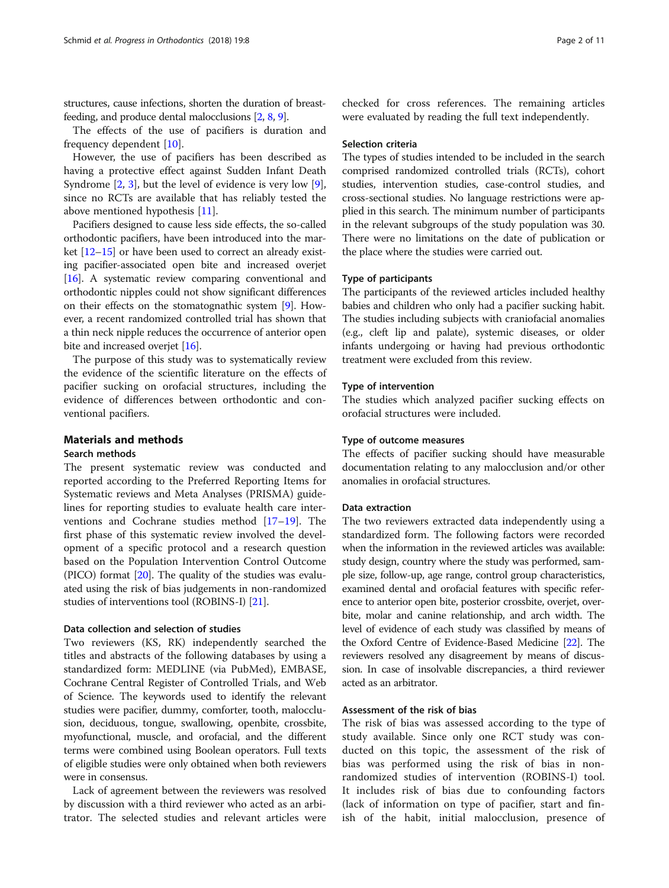structures, cause infections, shorten the duration of breastfeeding, and produce dental malocclusions [\[2,](#page-9-0) [8,](#page-9-0) [9](#page-9-0)].

The effects of the use of pacifiers is duration and frequency dependent [[10\]](#page-9-0).

However, the use of pacifiers has been described as having a protective effect against Sudden Infant Death Syndrome [\[2](#page-9-0), [3](#page-9-0)], but the level of evidence is very low [\[9](#page-9-0)], since no RCTs are available that has reliably tested the above mentioned hypothesis [\[11\]](#page-9-0).

Pacifiers designed to cause less side effects, the so-called orthodontic pacifiers, have been introduced into the market [\[12](#page-9-0)–[15](#page-9-0)] or have been used to correct an already existing pacifier-associated open bite and increased overjet [[16](#page-9-0)]. A systematic review comparing conventional and orthodontic nipples could not show significant differences on their effects on the stomatognathic system [[9\]](#page-9-0). However, a recent randomized controlled trial has shown that a thin neck nipple reduces the occurrence of anterior open bite and increased overjet [[16](#page-9-0)].

The purpose of this study was to systematically review the evidence of the scientific literature on the effects of pacifier sucking on orofacial structures, including the evidence of differences between orthodontic and conventional pacifiers.

# Materials and methods

### Search methods

The present systematic review was conducted and reported according to the Preferred Reporting Items for Systematic reviews and Meta Analyses (PRISMA) guidelines for reporting studies to evaluate health care interventions and Cochrane studies method [[17](#page-9-0)–[19](#page-9-0)]. The first phase of this systematic review involved the development of a specific protocol and a research question based on the Population Intervention Control Outcome (PICO) format [\[20\]](#page-9-0). The quality of the studies was evaluated using the risk of bias judgements in non-randomized studies of interventions tool (ROBINS-I) [[21](#page-9-0)].

#### Data collection and selection of studies

Two reviewers (KS, RK) independently searched the titles and abstracts of the following databases by using a standardized form: MEDLINE (via PubMed), EMBASE, Cochrane Central Register of Controlled Trials, and Web of Science. The keywords used to identify the relevant studies were pacifier, dummy, comforter, tooth, malocclusion, deciduous, tongue, swallowing, openbite, crossbite, myofunctional, muscle, and orofacial, and the different terms were combined using Boolean operators. Full texts of eligible studies were only obtained when both reviewers were in consensus.

Lack of agreement between the reviewers was resolved by discussion with a third reviewer who acted as an arbitrator. The selected studies and relevant articles were checked for cross references. The remaining articles were evaluated by reading the full text independently.

#### Selection criteria

The types of studies intended to be included in the search comprised randomized controlled trials (RCTs), cohort studies, intervention studies, case-control studies, and cross-sectional studies. No language restrictions were applied in this search. The minimum number of participants in the relevant subgroups of the study population was 30. There were no limitations on the date of publication or the place where the studies were carried out.

#### Type of participants

The participants of the reviewed articles included healthy babies and children who only had a pacifier sucking habit. The studies including subjects with craniofacial anomalies (e.g., cleft lip and palate), systemic diseases, or older infants undergoing or having had previous orthodontic treatment were excluded from this review.

#### Type of intervention

The studies which analyzed pacifier sucking effects on orofacial structures were included.

#### Type of outcome measures

The effects of pacifier sucking should have measurable documentation relating to any malocclusion and/or other anomalies in orofacial structures.

#### Data extraction

The two reviewers extracted data independently using a standardized form. The following factors were recorded when the information in the reviewed articles was available: study design, country where the study was performed, sample size, follow-up, age range, control group characteristics, examined dental and orofacial features with specific reference to anterior open bite, posterior crossbite, overjet, overbite, molar and canine relationship, and arch width. The level of evidence of each study was classified by means of the Oxford Centre of Evidence-Based Medicine [\[22\]](#page-9-0). The reviewers resolved any disagreement by means of discussion. In case of insolvable discrepancies, a third reviewer acted as an arbitrator.

#### Assessment of the risk of bias

The risk of bias was assessed according to the type of study available. Since only one RCT study was conducted on this topic, the assessment of the risk of bias was performed using the risk of bias in nonrandomized studies of intervention (ROBINS-I) tool. It includes risk of bias due to confounding factors (lack of information on type of pacifier, start and finish of the habit, initial malocclusion, presence of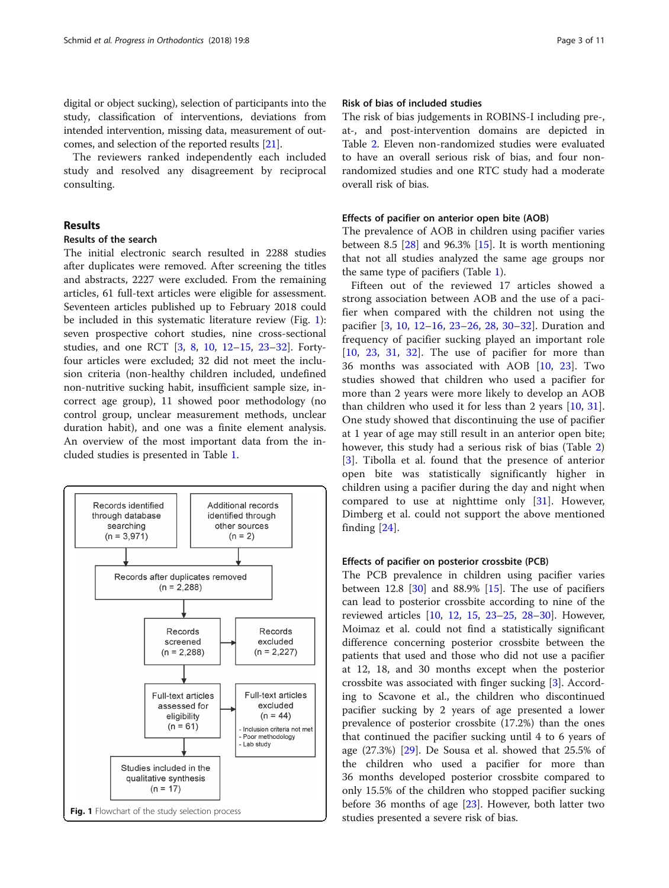digital or object sucking), selection of participants into the study, classification of interventions, deviations from intended intervention, missing data, measurement of outcomes, and selection of the reported results [[21](#page-9-0)].

The reviewers ranked independently each included study and resolved any disagreement by reciprocal consulting.

### Results

#### Results of the search

The initial electronic search resulted in 2288 studies after duplicates were removed. After screening the titles and abstracts, 2227 were excluded. From the remaining articles, 61 full-text articles were eligible for assessment. Seventeen articles published up to February 2018 could be included in this systematic literature review (Fig. 1): seven prospective cohort studies, nine cross-sectional studies, and one RCT [\[3,](#page-9-0) [8,](#page-9-0) [10](#page-9-0), [12](#page-9-0)–[15](#page-9-0), [23](#page-9-0)–[32\]](#page-10-0). Fortyfour articles were excluded; 32 did not meet the inclusion criteria (non-healthy children included, undefined non-nutritive sucking habit, insufficient sample size, incorrect age group), 11 showed poor methodology (no control group, unclear measurement methods, unclear duration habit), and one was a finite element analysis. An overview of the most important data from the included studies is presented in Table [1.](#page-3-0)



#### Risk of bias of included studies

The risk of bias judgements in ROBINS-I including pre-, at-, and post-intervention domains are depicted in Table [2.](#page-6-0) Eleven non-randomized studies were evaluated to have an overall serious risk of bias, and four nonrandomized studies and one RTC study had a moderate overall risk of bias.

#### Effects of pacifier on anterior open bite (AOB)

The prevalence of AOB in children using pacifier varies between 8.5  $[28]$  $[28]$  $[28]$  and 96.3%  $[15]$  $[15]$ . It is worth mentioning that not all studies analyzed the same age groups nor the same type of pacifiers (Table [1](#page-3-0)).

Fifteen out of the reviewed 17 articles showed a strong association between AOB and the use of a pacifier when compared with the children not using the pacifier [\[3](#page-9-0), [10,](#page-9-0) [12](#page-9-0)–[16,](#page-9-0) [23](#page-9-0)–[26](#page-9-0), [28,](#page-9-0) [30](#page-10-0)–[32](#page-10-0)]. Duration and frequency of pacifier sucking played an important role  $[10, 23, 31, 32]$  $[10, 23, 31, 32]$  $[10, 23, 31, 32]$  $[10, 23, 31, 32]$  $[10, 23, 31, 32]$  $[10, 23, 31, 32]$  $[10, 23, 31, 32]$  $[10, 23, 31, 32]$ . The use of pacifier for more than 36 months was associated with AOB [[10,](#page-9-0) [23\]](#page-9-0). Two studies showed that children who used a pacifier for more than 2 years were more likely to develop an AOB than children who used it for less than 2 years  $[10, 31]$  $[10, 31]$  $[10, 31]$  $[10, 31]$  $[10, 31]$ . One study showed that discontinuing the use of pacifier at 1 year of age may still result in an anterior open bite; however, this study had a serious risk of bias (Table [2](#page-6-0)) [[3](#page-9-0)]. Tibolla et al. found that the presence of anterior open bite was statistically significantly higher in children using a pacifier during the day and night when compared to use at nighttime only [[31\]](#page-10-0). However, Dimberg et al. could not support the above mentioned finding  $[24]$  $[24]$ .

#### Effects of pacifier on posterior crossbite (PCB)

The PCB prevalence in children using pacifier varies between  $12.8$  [\[30\]](#page-10-0) and  $88.9\%$  [[15\]](#page-9-0). The use of pacifiers can lead to posterior crossbite according to nine of the reviewed articles [\[10](#page-9-0), [12,](#page-9-0) [15,](#page-9-0) [23](#page-9-0)–[25](#page-9-0), [28](#page-9-0)–[30\]](#page-10-0). However, Moimaz et al. could not find a statistically significant difference concerning posterior crossbite between the patients that used and those who did not use a pacifier at 12, 18, and 30 months except when the posterior crossbite was associated with finger sucking [[3\]](#page-9-0). According to Scavone et al., the children who discontinued pacifier sucking by 2 years of age presented a lower prevalence of posterior crossbite (17.2%) than the ones that continued the pacifier sucking until 4 to 6 years of age  $(27.3\%)$   $[29]$  $[29]$ . De Sousa et al. showed that  $25.5\%$  of the children who used a pacifier for more than 36 months developed posterior crossbite compared to only 15.5% of the children who stopped pacifier sucking before 36 months of age  $[23]$  $[23]$ . However, both latter two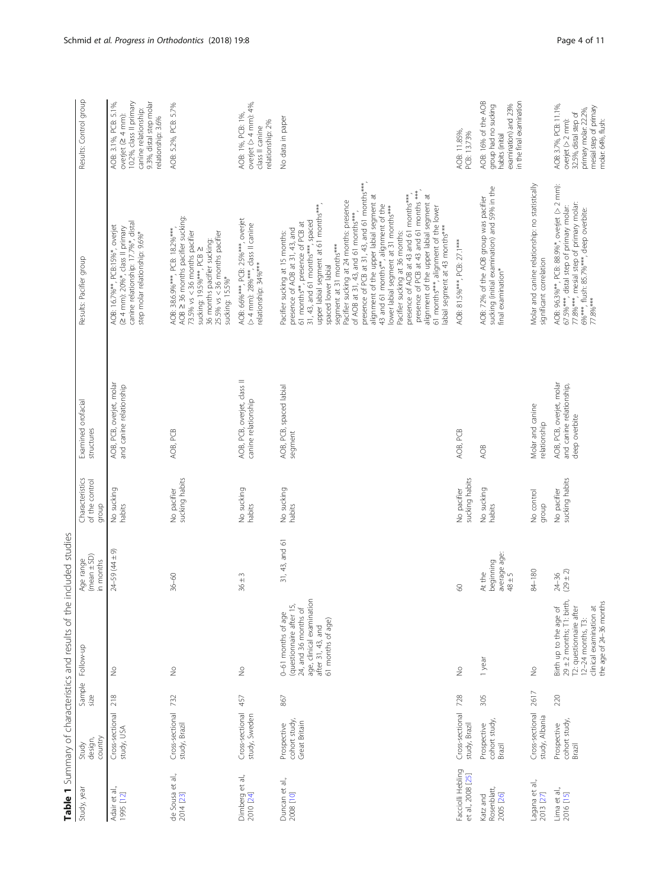<span id="page-3-0"></span>

| Table 1 Summary of characteristics and results of the included studies<br>design,<br>Study |                                               | Sample<br>size | Follow-up                                                                                                                                                     | Age range<br>(mean ± SD)                    | Characteristics<br>of the control | Examined orofacial<br>structures                                      | Results: Pacifier group                                                                                                                                                                                                                                                                                                                                                                                                                                                                                                                                                                                                                                                                                                                        | Results: Control group                                                                                                                        |
|--------------------------------------------------------------------------------------------|-----------------------------------------------|----------------|---------------------------------------------------------------------------------------------------------------------------------------------------------------|---------------------------------------------|-----------------------------------|-----------------------------------------------------------------------|------------------------------------------------------------------------------------------------------------------------------------------------------------------------------------------------------------------------------------------------------------------------------------------------------------------------------------------------------------------------------------------------------------------------------------------------------------------------------------------------------------------------------------------------------------------------------------------------------------------------------------------------------------------------------------------------------------------------------------------------|-----------------------------------------------------------------------------------------------------------------------------------------------|
|                                                                                            | Cross-sectional<br>study, USA<br>country      | $218$          | $\stackrel{\circ}{\geq}$                                                                                                                                      | $24-59(44 \pm 9)$<br>in months              | No sucking<br>qroup<br>habits     | AOB, PCB, overjet, molar<br>and canine relationship                   | canine relationship: 17.7%*, distal<br>AOB: 16.7%**, PCB:15%*, overjet<br>24 mm): 20%*, class II primary<br>step molar relationship: 9.6%*                                                                                                                                                                                                                                                                                                                                                                                                                                                                                                                                                                                                     | 10.2%, class II primary<br>9.3%, distal step molar<br>AOB: 3.1%, PCB: 5.1%,<br>canine relationship:<br>overjet (24 mm):<br>relationship: 3.6% |
|                                                                                            | Cross-sectional 732<br>study, Brazil          |                | $\frac{1}{2}$                                                                                                                                                 | $36 - 60$                                   | sucking habits<br>No pacifier     | AOB, PCB                                                              | AOB 2 36 months pacifier sucking:<br>AOB: 38.6.9%***, PCB: 18.2%***<br>73.5% vs < 36 months pacifier<br>25.5% vs < 36 months pacifier<br>36 months pacifier sucking:<br>sucking: 19.5%***, PCB ≥<br>sucking: 15.5%*                                                                                                                                                                                                                                                                                                                                                                                                                                                                                                                            | AOB: 5.2%, PCB: 5.7%                                                                                                                          |
|                                                                                            | Cross-sectional<br>study, Sweden              | 457            | $\stackrel{\circ}{\geq}$                                                                                                                                      | $36 \pm 3$                                  | No sucking<br>habits              | AOB, PCB, overjet, class II<br>canine relationship                    | AOB: 66%***, PCB: 25%***, overjet<br>(> 4 mm): 28%***, class II canine<br>relationship: 34%***                                                                                                                                                                                                                                                                                                                                                                                                                                                                                                                                                                                                                                                 | overjet $(>4$ mm): $4\%$<br>AOB: 1%, PCB: 1%,<br>relationship: 2%<br>class II canine                                                          |
|                                                                                            | cohort study,<br>Great Britain<br>Prospective | 867            | age, clinical examination<br>(questionnaire after 15,<br>24, and 36 months of<br>0-61 months of age<br>61 months of age)<br>after 31, 43, and                 | 31, 43, and 61                              | No sucking<br>habits              | AOB, PCB, spaced labial<br>segment                                    | presence of PCB at 31, 43, and 61 months***,<br>presence of PCB at 43 and 61 months ***<br>presence of AOB at 43 and 61 months***,<br>alignment of the upper labial segment at<br>alignment of the upper labial segment at<br>Pacifier sucking at 24 months: presence<br>upper labial segment at 61 months***,<br>43 and 61 months**, alignment of the<br>61 months***, alignment of the lower<br>lower labial segment at 31 months***<br>of AOB at 31, 43, and 61 months***,<br>31, 43, and 61 months***, spaced<br>61 months**, presence of PCB at<br>labial segment at 43 months***<br>Pacifier sucking at 15 months:<br>presence of AOB at 31, 43, and<br>Pacifier sucking at 36 months:<br>segment at 31 months***<br>spaced lower labial | No data in paper                                                                                                                              |
|                                                                                            | Cross-sectional<br>study, Brazil              | 728            | $\frac{1}{2}$                                                                                                                                                 | $\circ$                                     | sucking habits<br>No pacifier     | AOB, PCB                                                              | AOB: 81.5%***, PCB: 27.1***                                                                                                                                                                                                                                                                                                                                                                                                                                                                                                                                                                                                                                                                                                                    | AOB: 11.85%,<br>PCB: 13.73%                                                                                                                   |
| Brazil                                                                                     | cohort study<br>Prospective                   | 305            | 1 year                                                                                                                                                        | average age:<br>beginning<br>At the<br>48±5 | No sucking<br>habits              | AOB                                                                   | sucking (initial examination) and 59% in the<br>AOB: 72% of the AOB group was pacifier<br>final examination*                                                                                                                                                                                                                                                                                                                                                                                                                                                                                                                                                                                                                                   | in the final examination<br>AOB: 16% of the AOB<br>examination) and 23%<br>group had no sucking<br>habits (initial                            |
|                                                                                            | Cross-sectional<br>study, Albania             | 2617           | $\stackrel{\circ}{\geq}$                                                                                                                                      | 84-180                                      | No control<br>qroup               | Molar and canine<br>relationship                                      | Molar and canine relationship: no statistically<br>significant correlation                                                                                                                                                                                                                                                                                                                                                                                                                                                                                                                                                                                                                                                                     |                                                                                                                                               |
| Brazil                                                                                     | cohort study,<br>Prospective                  | 220            | $29 \pm 2$ months; T1: birth,<br>the age of 24-36 months<br>clinical examination at<br>12: questionnaire after<br>Birth up to the age of<br>12-24 months, T3: | $(29 \pm 2)$<br>$24 - 36$                   | sucking habits<br>No pacifier     | AOB, PCB, overjet, molar<br>and canine relationship,<br>deep overbite | AOB: 96.3%**, PCB: 88.9%*, overjet (> 2 mm):<br>67.5%***, distal step of primary molar:<br>77.8%***, mesial step of primary molar:<br>6%***, flush: 85.7%***, deep overbite:<br>77.8%***                                                                                                                                                                                                                                                                                                                                                                                                                                                                                                                                                       | AOB: 3.7%, PCB: 11.1%,<br>mesial step of primary<br>primary molar: 22.2%,<br>32.5%, distal step of<br>molar: 64%, flush:<br>overjet (> 2 mm): |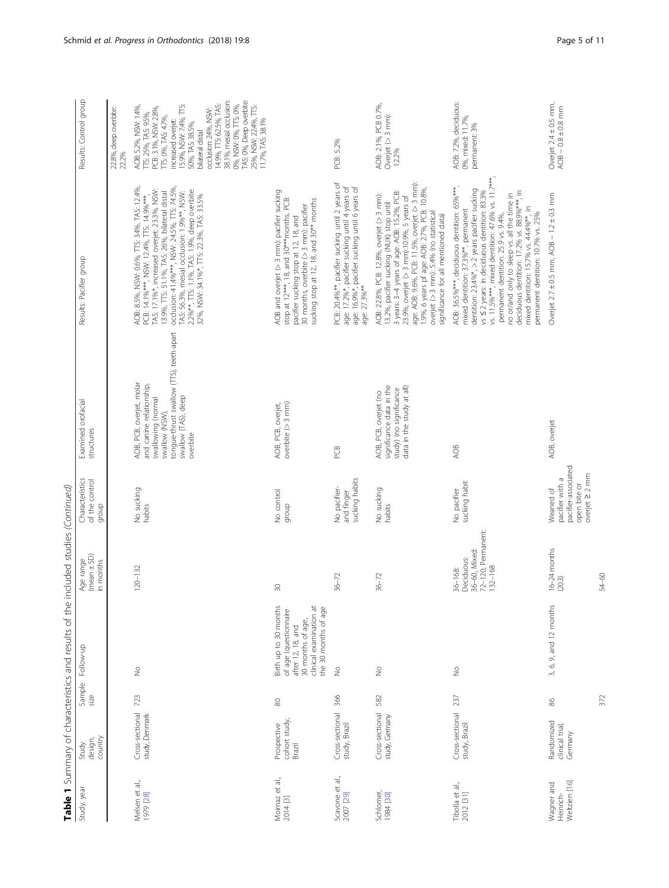| Study, year                              | Table 1 Summary of characteristics and results of the<br>country<br>design,<br>Study | size      | Sample Follow-up                                                                                                                            | (mean ± SD)<br>Age range<br>in months                                      | Characteristics<br>of the control<br>qronb                                                 | Examined orofacial<br>structures                                                                                                                                            | Results: Pacifier group                                                                                                                                                                                                                                                                                                                                                                                                                                    | Results: Control group                                                                                                                                                                                                                                                                                                                                               |
|------------------------------------------|--------------------------------------------------------------------------------------|-----------|---------------------------------------------------------------------------------------------------------------------------------------------|----------------------------------------------------------------------------|--------------------------------------------------------------------------------------------|-----------------------------------------------------------------------------------------------------------------------------------------------------------------------------|------------------------------------------------------------------------------------------------------------------------------------------------------------------------------------------------------------------------------------------------------------------------------------------------------------------------------------------------------------------------------------------------------------------------------------------------------------|----------------------------------------------------------------------------------------------------------------------------------------------------------------------------------------------------------------------------------------------------------------------------------------------------------------------------------------------------------------------|
|                                          |                                                                                      |           |                                                                                                                                             |                                                                            |                                                                                            |                                                                                                                                                                             |                                                                                                                                                                                                                                                                                                                                                                                                                                                            | 22.8%, deep overbite:<br>22.2%                                                                                                                                                                                                                                                                                                                                       |
| Melsen et al.,<br>1979 [28]              | Cross-sectional<br>study, Denmark                                                    | 723       | $\frac{1}{2}$                                                                                                                               | $120 - 132$                                                                | No sucking<br>habits                                                                       | tongue-thrust swallow (TTS), teeth-apart<br>AOB, PCB, overjet, molar<br>and canine relationship,<br>swallow (TAS), deep<br>swallowing (normal<br>swallow (NSW),<br>overbite | 13.9%, TTS: 51.1%, TAS: 26%, bilateral distal<br>occlusion: 41.4%***, NSW: 24.5%, TTS: 74.5%,<br>AOB: 8.5%, NSW: 0.6%, TTS: 34%, TAS: 12.4%<br>TAS: 17.1%*, increased overjet: 23.3%, NSW:<br>2.2%**, TTS: 1.1%, TAS: 1.9%, deep overbite:<br>TAS: 56.3%, mesial occlusion: 1.9%**, NSW:<br>32%, NSW: 34.1%*, TTS: 22.3%, TAS: 33.5%<br>PCB: 14.1%***, NSW: 12.4%, TTS: 14.9%***,                                                                          | 38.1%, mesial occlusion:<br>TAS: 0%, Deep overbite:<br>15.9%, NSW: 7.4%, TTS:<br>0%, NSW: 0%, TTS: 0%,<br>14.9%, TTS: 62.5%, TAS:<br>25%, NSW: 22.4%, TTS:<br>AOB: 5.2%, NSW: 1.4%,<br>PCB: 3.1%, NSW: 2.8%,<br>occlusion: 24%, NSW:<br>ITS: 25%, TAS: 95%,<br>ITS: 0%, TAS: 4.7%,<br>11.7%, TAS: 38.1%<br>increased overjet:<br>50%, TAS: 385%,<br>bilateral distal |
| Moimaz et al.,<br>2014 [3]               | cohort study<br>Prospective<br>Brazil                                                | $\otimes$ | Birth up to 30 months<br>clinical examination at<br>the 30 months of age<br>of age (questionnaire<br>30 months of age,<br>after 12, 18, and | $\approx$                                                                  | No control<br>qroup                                                                        | overbite $(>3$ mm)<br>AOB, PCB, overjet,                                                                                                                                    | AOB and overjet (> 3 mm): pacifier sucking<br>stop at 12***, 18, and 30***months, PCB:<br>sucking stop at 12, 18, and 30 <sup>**</sup> months<br>30 months, overbite (> 3 mm): pacifier<br>pacifier sucking stop at 12, 18, and                                                                                                                                                                                                                            |                                                                                                                                                                                                                                                                                                                                                                      |
| Scavone et al.,<br>2007 [29]             | Cross-sectional<br>study, Brazil                                                     | 366       | $\stackrel{\circ}{\simeq}$                                                                                                                  | $36 - 72$                                                                  | sucking habits<br>No pacifier-<br>and finger                                               | PCB                                                                                                                                                                         | PCB: 20.4%**, pacifier sucking until 2 years of<br>age: 17.2%*, pacifier sucking until 4 years of<br>age: 16.9%*, pacifier sucking until 6 years of<br>age: 27.3%**                                                                                                                                                                                                                                                                                        | PCB: 5.2%                                                                                                                                                                                                                                                                                                                                                            |
| Schlomer,<br>1984 [30]                   | Cross-sectional<br>study, Germany                                                    | 582       | $\stackrel{\circ}{\geq}$                                                                                                                    | $36 - 72$                                                                  | No sucking<br>habits                                                                       | significance data in the<br>data in the study at all)<br>study) (no significance<br>AOB, PCB, overjet (no                                                                   | age: AOB: 9.6%, PCB: 11.5%, overjet (> 3 mm):<br>1.9%, 6 years pf age: AOB: 2.7%, PCB: 10.8%, overjet (> 3 mm): 5.4% (no statistical<br>3 years: 3-4 years of age: AOB: 15.2%, PCB:<br>AOB: 22.8%, PCB: 12.8%, overjet (> 3 mm):<br>23.9%, overjet (> 3 mm):10.9%, 5 years of<br>13.2%, pacifier sucking (NUK) stop until<br>significance for all mentioned data)                                                                                          | AOB: 2.1%, PCB 0.7%,<br>Overjet (> 3 mm):<br>12.2%                                                                                                                                                                                                                                                                                                                   |
| Tibolla et al.,<br>2012 [31]             | Cross-sectional<br>study, Brazil                                                     | 237       | $\frac{0}{2}$                                                                                                                               | 72-120, Permanent:<br>36-60, Mixed:<br>Deciduous:<br>132-168<br>$36 - 168$ | sucking habit<br>No pacifier                                                               | AOB                                                                                                                                                                         | vs. 11.5%***, mixed dentition: 47.6% vs. 11.7***<br>AOB: 36.5%***, deciduous dentition: 65%***,<br>mixed dentition: 37.3%**, permanent<br>dentition: 23.4%*, > 2 years pacifier sucking<br>vs <2 years: in deciduous dentition: 83.3%<br>deciduous dentition: 17.2% vs. 88.9%***, in<br>no or/and only to sleep vs. all the time in<br>mixed dentition: 15.7% vs. 44.4%**, in<br>permanent dentition: 10.7% vs. 25%<br>permanent dentition: 25.9 vs. 9.4%, | AOB: 7.2%, deciduous:<br>0%, mixed: 11.7%,<br>permanent: 3%                                                                                                                                                                                                                                                                                                          |
| Weltzien [16]<br>Wagner and<br>Heinrich- | Randomized<br>clinical trial,<br>Germany                                             | 86        | 3, 6, 9, and 12 months                                                                                                                      | $16-24$ months<br>(20.3)                                                   | pacifier-associated<br>overjet $\geq$ 2 mm<br>pacifier with a<br>open bite or<br>Weaned of | AOB, overjet                                                                                                                                                                | Overjet $2.7 \pm 0.5$ mm, AOB $-1.2 \pm 0.3$ mm                                                                                                                                                                                                                                                                                                                                                                                                            | Overjet $2.4 \pm 0.5$ mm,<br>$AOB - 0.8 \pm 0.8$ mm                                                                                                                                                                                                                                                                                                                  |
|                                          |                                                                                      | 372       |                                                                                                                                             | 54-60                                                                      |                                                                                            |                                                                                                                                                                             |                                                                                                                                                                                                                                                                                                                                                                                                                                                            |                                                                                                                                                                                                                                                                                                                                                                      |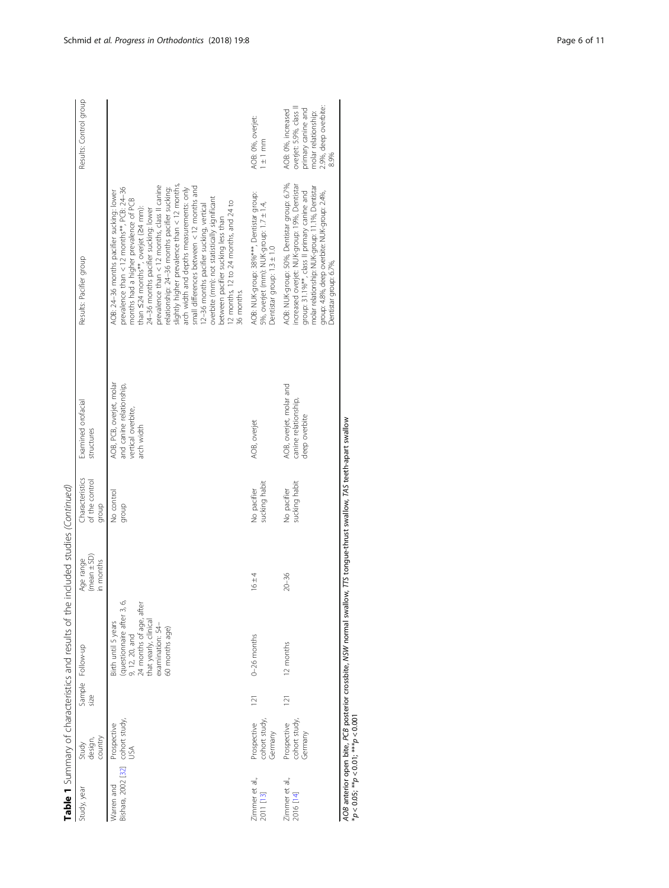| (mean ± SD)<br>Age range<br>in months<br>(questionnaire after 3, 6, 9, 12, 20, and<br>9, 12, 20, and<br>24 months of age, after<br>that yearly, clinical<br>Birth until 5 years<br>examination: 54-<br>60 months age)<br>Sample Follow-up<br>size<br>Bishara, 2002 [32] cohort study,<br>USA<br>Prospective<br>country<br>design,<br>Study | Table 1 Summary of characteristics and results of the i |                  |               |            | Characteristics<br>of the control<br>included studies <i>(Continued)</i><br>No control<br>qroup<br>group | AOB, PCB, overjet, molar<br>and canine relationship,<br>Examined orofacial<br>vertical overbite,<br>arch width<br>structures | slightly higher prevalence than < 12 months,<br>prevalence than $<$ 12 months, class II canine<br>small differences between < 12 months and<br>prevalence than < 12 months**, PCB: 24-36<br>relationship: 24-36 months pacifier sucking:<br>arch width and depths measurements: only<br>AOB: 24-36 months pacifier sucking: lower<br>months had a higher prevalence of PCB<br>than ≤24 months**, overjet (≥4 mm):<br>24-36 months pacifier sucking: lower<br>Results: Pacifier group | Results: Control group                                                                                                     |
|--------------------------------------------------------------------------------------------------------------------------------------------------------------------------------------------------------------------------------------------------------------------------------------------------------------------------------------------|---------------------------------------------------------|------------------|---------------|------------|----------------------------------------------------------------------------------------------------------|------------------------------------------------------------------------------------------------------------------------------|--------------------------------------------------------------------------------------------------------------------------------------------------------------------------------------------------------------------------------------------------------------------------------------------------------------------------------------------------------------------------------------------------------------------------------------------------------------------------------------|----------------------------------------------------------------------------------------------------------------------------|
| Zimmer et al.,<br>2011 [13]                                                                                                                                                                                                                                                                                                                | cohort study,<br>Prospective<br>Germany                 | $\overline{121}$ | $0-26$ months | $16 \pm 4$ | sucking habit<br>No pacifier                                                                             | AOB, overjet                                                                                                                 | AOB: NUK-group: 38%***, Dentistar group:<br>overbite (mm): not statistically significant<br>12 months, 12 to 24 months, and 24 to<br>5%, overjet (mm): NUK-group: 1.7 ± 1.4,<br>12-36 months pacifier sucking, vertical<br>between pacifier sucking less than<br>Dentistar group: 1.3 ± 1.0<br>36 months.                                                                                                                                                                            | AOB: 0%, overjet:<br>$1 \pm 1$ mm                                                                                          |
| Zimmer et al.,<br>2016 [14]                                                                                                                                                                                                                                                                                                                | cohort study,<br>Prospective<br>Germany                 | 121              | 12 months     | $20 - 36$  | sucking habit<br>No pacifier                                                                             | AOB, overjet, molar and<br>canine relationship,<br>deep overbite                                                             | AOB: NUK-group: 50%, Dentistar group: 6.7%,<br>increased overjet: NUK-group: 19%, Dentistar<br>molar relationship: NUK-group: 11.1%, Dentistar<br>group: 31.1%**, class II primary canine and<br>group: 4.8%, deep overbite: NUK-group: 2.4%,<br>Dentistar group: 6.7%,                                                                                                                                                                                                              | overjet: 5.9%, class II<br>2.9%, deep overbite:<br>primary canine and<br>AOB: 0%, increased<br>molar relationship:<br>8.9% |

AOB anterior open bite, PCB posterior crossbite, NSM normal swallow, TTS tongue-thrust swallow, TAS teeth-apart swallow<br>\*p < 0.05; \*\*p < 0.01; \*\*\*p < 0.001 AOB anterior open bite, PCB posterior crossbite, NSW normal swallow, TTS tongue-thrust swallow, TAS teeth-apart swallow  $*p < 0.05; **p < 0.01; ***p < 0.001$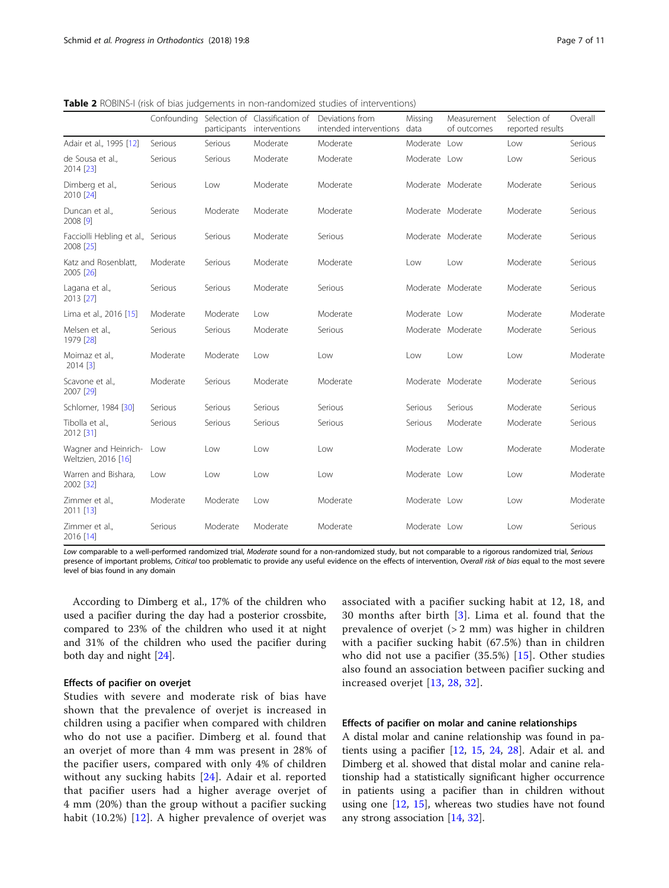<span id="page-6-0"></span>Table 2 ROBINS-I (risk of bias judgements in non-randomized studies of interventions)

|                                                | Confounding |          | Selection of Classification of<br>participants interventions | Deviations from<br>intended interventions | Missing<br>data | Measurement<br>of outcomes | Selection of<br>reported results | Overall  |
|------------------------------------------------|-------------|----------|--------------------------------------------------------------|-------------------------------------------|-----------------|----------------------------|----------------------------------|----------|
| Adair et al., 1995 [12]                        | Serious     | Serious  | Moderate                                                     | Moderate                                  | Moderate Low    |                            | Low                              | Serious  |
| de Sousa et al.,<br>2014 [23]                  | Serious     | Serious  | Moderate                                                     | Moderate                                  | Moderate Low    |                            | Low                              | Serious  |
| Dimberg et al.,<br>2010 [24]                   | Serious     | Low      | Moderate                                                     | Moderate                                  |                 | Moderate Moderate          | Moderate                         | Serious  |
| Duncan et al.,<br>2008 [9]                     | Serious     | Moderate | Moderate                                                     | Moderate                                  |                 | Moderate Moderate          | Moderate                         | Serious  |
| Facciolli Hebling et al., Serious<br>2008 [25] |             | Serious  | Moderate                                                     | Serious                                   |                 | Moderate Moderate          | Moderate                         | Serious  |
| Katz and Rosenblatt.<br>2005 [26]              | Moderate    | Serious  | Moderate                                                     | Moderate                                  | Low             | Low                        | Moderate                         | Serious  |
| Lagana et al.,<br>2013 [27]                    | Serious     | Serious  | Moderate                                                     | Serious                                   |                 | Moderate Moderate          | Moderate                         | Serious  |
| Lima et al., 2016 [15]                         | Moderate    | Moderate | Low                                                          | Moderate                                  | Moderate Low    |                            | Moderate                         | Moderate |
| Melsen et al.,<br>1979 [28]                    | Serious     | Serious  | Moderate                                                     | Serious                                   |                 | Moderate Moderate          | Moderate                         | Serious  |
| Moimaz et al.,<br>$2014$ [3]                   | Moderate    | Moderate | Low                                                          | Low                                       | Low             | Low                        | Low                              | Moderate |
| Scavone et al.,<br>2007 [29]                   | Moderate    | Serious  | Moderate                                                     | Moderate                                  |                 | Moderate Moderate          | Moderate                         | Serious  |
| Schlomer, 1984 [30]                            | Serious     | Serious  | Serious                                                      | Serious                                   | Serious         | Serious                    | Moderate                         | Serious  |
| Tibolla et al.,<br>2012 [31]                   | Serious     | Serious  | Serious                                                      | Serious                                   | Serious         | Moderate                   | Moderate                         | Serious  |
| Wagner and Heinrich-<br>Weltzien, 2016 [16]    | Low         | Low      | Low                                                          | Low                                       | Moderate Low    |                            | Moderate                         | Moderate |
| Warren and Bishara,<br>2002 [32]               | Low         | Low      | Low                                                          | Low                                       | Moderate Low    |                            | Low                              | Moderate |
| Zimmer et al.,<br>2011 [13]                    | Moderate    | Moderate | Low                                                          | Moderate                                  | Moderate Low    |                            | Low                              | Moderate |
| Zimmer et al.,<br>2016 [14]                    | Serious     | Moderate | Moderate                                                     | Moderate                                  | Moderate Low    |                            | Low                              | Serious  |

Low comparable to a well-performed randomized trial, Moderate sound for a non-randomized study, but not comparable to a rigorous randomized trial, Serious presence of important problems, Critical too problematic to provide any useful evidence on the effects of intervention, Overall risk of bias equal to the most severe level of bias found in any domain

According to Dimberg et al., 17% of the children who used a pacifier during the day had a posterior crossbite, compared to 23% of the children who used it at night and 31% of the children who used the pacifier during both day and night [[24](#page-9-0)].

#### Effects of pacifier on overjet

Studies with severe and moderate risk of bias have shown that the prevalence of overjet is increased in children using a pacifier when compared with children who do not use a pacifier. Dimberg et al. found that an overjet of more than 4 mm was present in 28% of the pacifier users, compared with only 4% of children without any sucking habits [\[24\]](#page-9-0). Adair et al. reported that pacifier users had a higher average overjet of 4 mm (20%) than the group without a pacifier sucking habit (10.2%) [[12](#page-9-0)]. A higher prevalence of overjet was associated with a pacifier sucking habit at 12, 18, and 30 months after birth [[3](#page-9-0)]. Lima et al. found that the prevalence of overjet (> 2 mm) was higher in children with a pacifier sucking habit (67.5%) than in children who did not use a pacifier (35.5%) [[15](#page-9-0)]. Other studies also found an association between pacifier sucking and increased overjet [[13](#page-9-0), [28,](#page-9-0) [32](#page-10-0)].

### Effects of pacifier on molar and canine relationships

A distal molar and canine relationship was found in patients using a pacifier [[12](#page-9-0), [15,](#page-9-0) [24,](#page-9-0) [28\]](#page-9-0). Adair et al. and Dimberg et al. showed that distal molar and canine relationship had a statistically significant higher occurrence in patients using a pacifier than in children without using one  $[12, 15]$  $[12, 15]$  $[12, 15]$ , whereas two studies have not found any strong association [[14](#page-9-0), [32](#page-10-0)].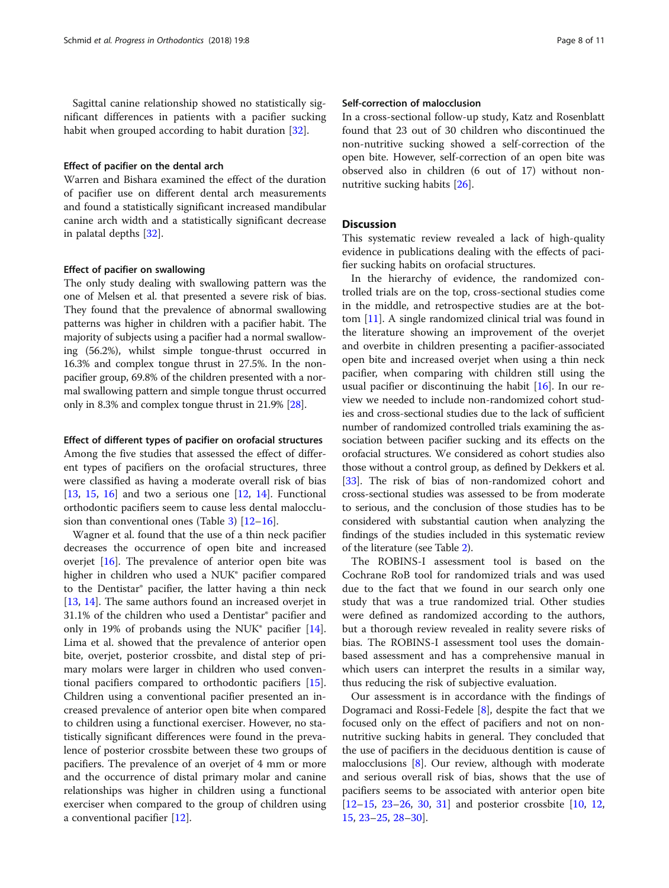Sagittal canine relationship showed no statistically significant differences in patients with a pacifier sucking habit when grouped according to habit duration [\[32](#page-10-0)].

#### Effect of pacifier on the dental arch

Warren and Bishara examined the effect of the duration of pacifier use on different dental arch measurements and found a statistically significant increased mandibular canine arch width and a statistically significant decrease in palatal depths [\[32](#page-10-0)].

#### Effect of pacifier on swallowing

The only study dealing with swallowing pattern was the one of Melsen et al. that presented a severe risk of bias. They found that the prevalence of abnormal swallowing patterns was higher in children with a pacifier habit. The majority of subjects using a pacifier had a normal swallowing (56.2%), whilst simple tongue-thrust occurred in 16.3% and complex tongue thrust in 27.5%. In the nonpacifier group, 69.8% of the children presented with a normal swallowing pattern and simple tongue thrust occurred only in 8.3% and complex tongue thrust in 21.9% [\[28\]](#page-9-0).

#### Effect of different types of pacifier on orofacial structures

Among the five studies that assessed the effect of different types of pacifiers on the orofacial structures, three were classified as having a moderate overall risk of bias [[13,](#page-9-0) [15,](#page-9-0) [16\]](#page-9-0) and two a serious one  $[12, 14]$  $[12, 14]$  $[12, 14]$  $[12, 14]$ . Functional orthodontic pacifiers seem to cause less dental malocclusion than conventional ones (Table [3](#page-8-0)) [\[12](#page-9-0)–[16\]](#page-9-0).

Wagner et al. found that the use of a thin neck pacifier decreases the occurrence of open bite and increased overjet [\[16](#page-9-0)]. The prevalence of anterior open bite was higher in children who used a NUK® pacifier compared to the Dentistar® pacifier, the latter having a thin neck [[13,](#page-9-0) [14\]](#page-9-0). The same authors found an increased overjet in 31.1% of the children who used a Dentistar® pacifier and only in 19% of probands using the NUK® pacifier [\[14](#page-9-0)]. Lima et al. showed that the prevalence of anterior open bite, overjet, posterior crossbite, and distal step of primary molars were larger in children who used conventional pacifiers compared to orthodontic pacifiers [\[15](#page-9-0)]. Children using a conventional pacifier presented an increased prevalence of anterior open bite when compared to children using a functional exerciser. However, no statistically significant differences were found in the prevalence of posterior crossbite between these two groups of pacifiers. The prevalence of an overjet of 4 mm or more and the occurrence of distal primary molar and canine relationships was higher in children using a functional exerciser when compared to the group of children using a conventional pacifier [[12](#page-9-0)].

#### Self-correction of malocclusion

In a cross-sectional follow-up study, Katz and Rosenblatt found that 23 out of 30 children who discontinued the non-nutritive sucking showed a self-correction of the open bite. However, self-correction of an open bite was observed also in children (6 out of 17) without nonnutritive sucking habits [[26\]](#page-9-0).

#### **Discussion**

This systematic review revealed a lack of high-quality evidence in publications dealing with the effects of pacifier sucking habits on orofacial structures.

In the hierarchy of evidence, the randomized controlled trials are on the top, cross-sectional studies come in the middle, and retrospective studies are at the bottom [\[11](#page-9-0)]. A single randomized clinical trial was found in the literature showing an improvement of the overjet and overbite in children presenting a pacifier-associated open bite and increased overjet when using a thin neck pacifier, when comparing with children still using the usual pacifier or discontinuing the habit [\[16](#page-9-0)]. In our review we needed to include non-randomized cohort studies and cross-sectional studies due to the lack of sufficient number of randomized controlled trials examining the association between pacifier sucking and its effects on the orofacial structures. We considered as cohort studies also those without a control group, as defined by Dekkers et al. [[33](#page-10-0)]. The risk of bias of non-randomized cohort and cross-sectional studies was assessed to be from moderate to serious, and the conclusion of those studies has to be considered with substantial caution when analyzing the findings of the studies included in this systematic review of the literature (see Table [2](#page-6-0)).

The ROBINS-I assessment tool is based on the Cochrane RoB tool for randomized trials and was used due to the fact that we found in our search only one study that was a true randomized trial. Other studies were defined as randomized according to the authors, but a thorough review revealed in reality severe risks of bias. The ROBINS-I assessment tool uses the domainbased assessment and has a comprehensive manual in which users can interpret the results in a similar way, thus reducing the risk of subjective evaluation.

Our assessment is in accordance with the findings of Dogramaci and Rossi-Fedele [\[8](#page-9-0)], despite the fact that we focused only on the effect of pacifiers and not on nonnutritive sucking habits in general. They concluded that the use of pacifiers in the deciduous dentition is cause of malocclusions [[8\]](#page-9-0). Our review, although with moderate and serious overall risk of bias, shows that the use of pacifiers seems to be associated with anterior open bite [[12](#page-9-0)–[15](#page-9-0), [23](#page-9-0)–[26,](#page-9-0) [30,](#page-10-0) [31](#page-10-0)] and posterior crossbite [\[10](#page-9-0), [12](#page-9-0), [15,](#page-9-0) [23](#page-9-0)–[25](#page-9-0), [28](#page-9-0)–[30\]](#page-10-0).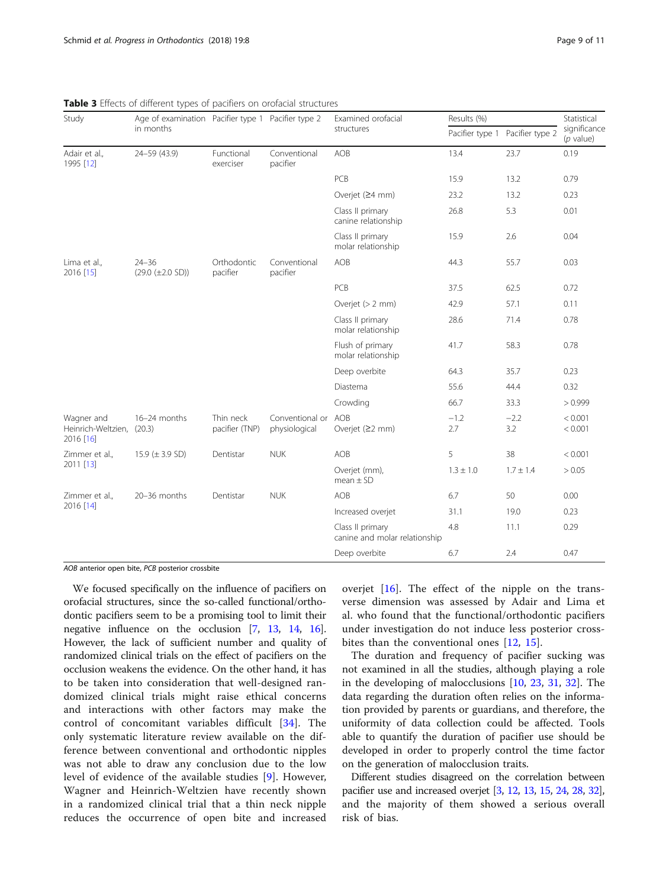| Study                                         | Age of examination Pacifier type 1 Pacifier type 2 |                             |                                      | Examined orofacial                                | Results (%)     |                 | Statistical                 |
|-----------------------------------------------|----------------------------------------------------|-----------------------------|--------------------------------------|---------------------------------------------------|-----------------|-----------------|-----------------------------|
|                                               | in months                                          |                             |                                      | structures                                        | Pacifier type 1 | Pacifier type 2 | significance<br>$(p$ value) |
| Adair et al.,<br>1995 [12]                    | 24-59 (43.9)                                       | Functional<br>exerciser     | Conventional<br>pacifier             | AOB                                               | 13.4            | 23.7            | 0.19                        |
|                                               |                                                    |                             |                                      | PCB                                               | 15.9            | 13.2            | 0.79                        |
|                                               |                                                    |                             |                                      | Overjet (≥4 mm)                                   | 23.2            | 13.2            | 0.23                        |
|                                               |                                                    |                             |                                      | Class II primary<br>canine relationship           | 26.8            | 5.3             | 0.01                        |
|                                               |                                                    |                             |                                      | Class II primary<br>molar relationship            | 15.9            | 2.6             | 0.04                        |
| Lima et al.,<br>2016 [15]                     | $24 - 36$<br>$(29.0 (\pm 2.0 SD))$                 | Orthodontic<br>pacifier     | Conventional<br>pacifier             | AOB                                               | 44.3            | 55.7            | 0.03                        |
|                                               |                                                    |                             |                                      | PCB                                               | 37.5            | 62.5            | 0.72                        |
|                                               |                                                    |                             |                                      | Overjet $(> 2 mm)$                                | 42.9            | 57.1            | 0.11                        |
|                                               |                                                    |                             |                                      | Class II primary<br>molar relationship            | 28.6            | 71.4            | 0.78                        |
|                                               |                                                    |                             |                                      | Flush of primary<br>molar relationship            | 41.7            | 58.3            | 0.78                        |
|                                               |                                                    |                             |                                      | Deep overbite                                     | 64.3            | 35.7            | 0.23                        |
|                                               |                                                    |                             |                                      | Diastema                                          | 55.6            | 44.4            | 0.32                        |
|                                               |                                                    |                             |                                      | Crowding                                          | 66.7            | 33.3            | > 0.999                     |
| Wagner and<br>Heinrich-Weltzien,<br>2016 [16] | 16-24 months<br>(20.3)                             | Thin neck<br>pacifier (TNP) | Conventional or AOB<br>physiological | Overjet (≥2 mm)                                   | $-1.2$<br>2.7   | $-2.2$<br>3.2   | < 0.001<br>< 0.001          |
| Zimmer et al.,                                | 15.9 ( $\pm$ 3.9 SD)                               | Dentistar                   | <b>NUK</b>                           | AOB                                               | 5               | 38              | < 0.001                     |
| 2011 [13]                                     |                                                    |                             |                                      | Overjet (mm),<br>mean $\pm$ SD                    | $1.3 \pm 1.0$   | $1.7 \pm 1.4$   | > 0.05                      |
| Zimmer et al.,                                | 20-36 months                                       | Dentistar                   | <b>NUK</b>                           | AOB                                               | 6.7             | 50              | 0.00                        |
| 2016 [14]                                     |                                                    |                             |                                      | Increased overjet                                 | 31.1            | 19.0            | 0.23                        |
|                                               |                                                    |                             |                                      | Class II primary<br>canine and molar relationship | 4.8             | 11.1            | 0.29                        |
|                                               |                                                    |                             |                                      | Deep overbite                                     | 6.7             | 2.4             | 0.47                        |

#### <span id="page-8-0"></span>Table 3 Effects of different types of pacifiers on orofacial structures

AOB anterior open bite, PCB posterior crossbite

We focused specifically on the influence of pacifiers on orofacial structures, since the so-called functional/orthodontic pacifiers seem to be a promising tool to limit their negative influence on the occlusion [[7](#page-9-0), [13](#page-9-0), [14,](#page-9-0) [16](#page-9-0)]. However, the lack of sufficient number and quality of randomized clinical trials on the effect of pacifiers on the occlusion weakens the evidence. On the other hand, it has to be taken into consideration that well-designed randomized clinical trials might raise ethical concerns and interactions with other factors may make the control of concomitant variables difficult [[34](#page-10-0)]. The only systematic literature review available on the difference between conventional and orthodontic nipples was not able to draw any conclusion due to the low level of evidence of the available studies [\[9](#page-9-0)]. However, Wagner and Heinrich-Weltzien have recently shown in a randomized clinical trial that a thin neck nipple reduces the occurrence of open bite and increased overjet [\[16](#page-9-0)]. The effect of the nipple on the transverse dimension was assessed by Adair and Lima et al. who found that the functional/orthodontic pacifiers under investigation do not induce less posterior cross-bites than the conventional ones [[12,](#page-9-0) [15\]](#page-9-0).

The duration and frequency of pacifier sucking was not examined in all the studies, although playing a role in the developing of malocclusions [[10,](#page-9-0) [23](#page-9-0), [31,](#page-10-0) [32](#page-10-0)]. The data regarding the duration often relies on the information provided by parents or guardians, and therefore, the uniformity of data collection could be affected. Tools able to quantify the duration of pacifier use should be developed in order to properly control the time factor on the generation of malocclusion traits.

Different studies disagreed on the correlation between pacifier use and increased overjet [\[3,](#page-9-0) [12](#page-9-0), [13,](#page-9-0) [15](#page-9-0), [24,](#page-9-0) [28](#page-9-0), [32](#page-10-0)], and the majority of them showed a serious overall risk of bias.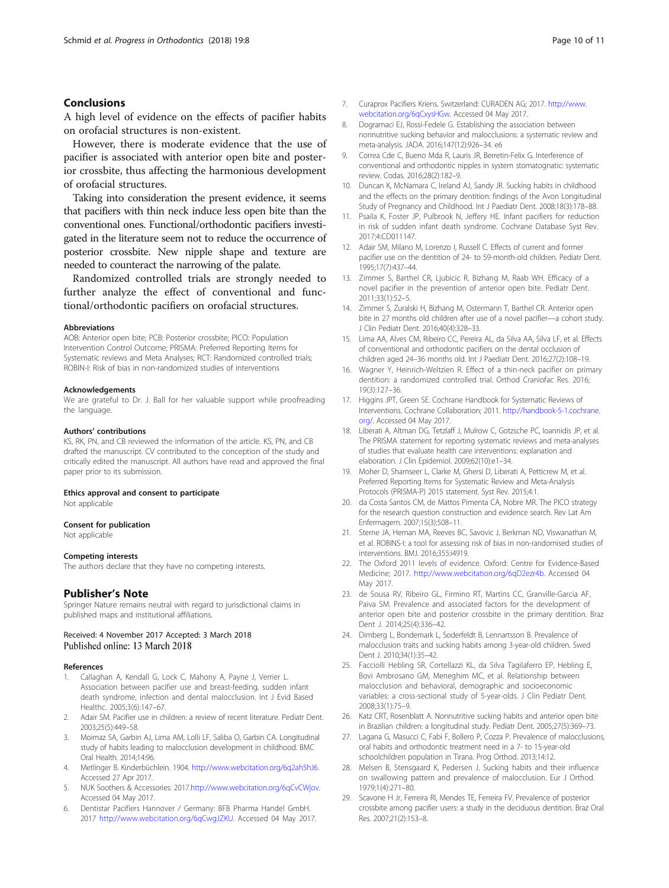#### <span id="page-9-0"></span>**Conclusions**

A high level of evidence on the effects of pacifier habits on orofacial structures is non-existent.

However, there is moderate evidence that the use of pacifier is associated with anterior open bite and posterior crossbite, thus affecting the harmonious development of orofacial structures.

Taking into consideration the present evidence, it seems that pacifiers with thin neck induce less open bite than the conventional ones. Functional/orthodontic pacifiers investigated in the literature seem not to reduce the occurrence of posterior crossbite. New nipple shape and texture are needed to counteract the narrowing of the palate.

Randomized controlled trials are strongly needed to further analyze the effect of conventional and functional/orthodontic pacifiers on orofacial structures.

#### Abbreviations

AOB: Anterior open bite; PCB: Posterior crossbite; PICO: Population Intervention Control Outcome; PRISMA: Preferred Reporting Items for Systematic reviews and Meta Analyses; RCT: Randomized controlled trials; ROBIN-I: Risk of bias in non-randomized studies of interventions

#### Acknowledgements

We are grateful to Dr. J. Ball for her valuable support while proofreading the language.

#### Authors' contributions

KS, RK, PN, and CB reviewed the information of the article. KS, PN, and CB drafted the manuscript. CV contributed to the conception of the study and critically edited the manuscript. All authors have read and approved the final paper prior to its submission.

#### Ethics approval and consent to participate

Not applicable

#### Consent for publication

Not applicable

#### Competing interests

The authors declare that they have no competing interests.

#### Publisher's Note

Springer Nature remains neutral with regard to jurisdictional claims in published maps and institutional affiliations.

# Received: 4 November 2017 Accepted: 3 March 2018

#### References

- 1. Callaghan A, Kendall G, Lock C, Mahony A, Payne J, Verrier L. Association between pacifier use and breast-feeding, sudden infant death syndrome, infection and dental malocclusion. Int J Evid Based Healthc. 2005;3(6):147–67.
- 2. Adair SM. Pacifier use in children: a review of recent literature. Pediatr Dent. 2003;25(5):449–58.
- 3. Moimaz SA, Garbin AJ, Lima AM, Lolli LF, Saliba O, Garbin CA. Longitudinal study of habits leading to malocclusion development in childhood. BMC Oral Health. 2014;14:96.
- 4. Metlinger B. Kinderbüchlein. 1904. <http://www.webcitation.org/6q2ah5hJ6>. Accessed 27 Apr 2017.
- 5. NUK Soothers & Accessories: 2017.<http://www.webcitation.org/6qCvCWjov>. Accessed 04 May 2017.
- 6. Dentistar Pacifiers Hannover / Germany: BFB Pharma Handel GmbH. 2017 [http://www.webcitation.org/6qCwgJZKU.](http://www.webcitation.org/6qCwgJZKU) Accessed 04 May 2017.
- 8. Dogramaci EJ, Rossi-Fedele G. Establishing the association between nonnutritive sucking behavior and malocclusions: a systematic review and meta-analysis. JADA. 2016;147(12):926–34. e6
- 9. Correa Cde C, Bueno Mda R, Lauris JR, Berretin-Felix G. Interference of conventional and orthodontic nipples in system stomatognatic: systematic review. Codas. 2016;28(2):182–9.
- 10. Duncan K, McNamara C, Ireland AJ, Sandy JR. Sucking habits in childhood and the effects on the primary dentition: findings of the Avon Longitudinal Study of Pregnancy and Childhood. Int J Paediatr Dent. 2008;18(3):178–88.
- 11. Psaila K, Foster JP, Pulbrook N, Jeffery HE. Infant pacifiers for reduction in risk of sudden infant death syndrome. Cochrane Database Syst Rev. 2017;4:CD011147.
- 12. Adair SM, Milano M, Lorenzo I, Russell C. Effects of current and former pacifier use on the dentition of 24- to 59-month-old children. Pediatr Dent. .<br>1995:17(7):437–44
- 13. Zimmer S, Barthel CR, Ljubicic R, Bizhang M, Raab WH. Efficacy of a novel pacifier in the prevention of anterior open bite. Pediatr Dent. 2011;33(1):52–5.
- 14. Zimmer S, Zuralski H, Bizhang M, Ostermann T, Barthel CR. Anterior open bite in 27 months old children after use of a novel pacifier—a cohort study. J Clin Pediatr Dent. 2016;40(4):328–33.
- 15. Lima AA, Alves CM, Ribeiro CC, Pereira AL, da Silva AA, Silva LF, et al. Effects of conventional and orthodontic pacifiers on the dental occlusion of children aged 24–36 months old. Int J Paediatr Dent. 2016;27(2):108–19.
- 16. Wagner Y, Heinrich-Weltzien R. Effect of a thin-neck pacifier on primary dentition: a randomized controlled trial. Orthod Craniofac Res. 2016; 19(3):127–36.
- 17. Higgins JPT, Green SE. Cochrane Handbook for Systematic Reviews of Interventions. Cochrane Collaboration; 2011. [http://handbook-5-1.cochrane.](http://handbook-5-1.cochrane.org/) [org/.](http://handbook-5-1.cochrane.org/) Accessed 04 May 2017.
- 18. Liberati A, Altman DG, Tetzlaff J, Mulrow C, Gotzsche PC, Ioannidis JP, et al. The PRISMA statement for reporting systematic reviews and meta-analyses of studies that evaluate health care interventions: explanation and elaboration. J Clin Epidemiol. 2009;62(10):e1–34.
- 19. Moher D, Shamseer L, Clarke M, Ghersi D, Liberati A, Petticrew M, et al. Preferred Reporting Items for Systematic Review and Meta-Analysis Protocols (PRISMA-P) 2015 statement. Syst Rev. 2015;4:1.
- 20. da Costa Santos CM, de Mattos Pimenta CA, Nobre MR. The PICO strategy for the research question construction and evidence search. Rev Lat Am Enfermagem. 2007;15(3):508–11.
- 21. Sterne JA, Hernan MA, Reeves BC, Savovic J, Berkman ND, Viswanathan M, et al. ROBINS-I: a tool for assessing risk of bias in non-randomised studies of interventions. BMJ. 2016;355:i4919.
- 22. The Oxford 2011 levels of evidence. Oxford: Centre for Evidence-Based Medicine; 2017. <http://www.webcitation.org/6qD2ezr4b>. Accessed 04 May 2017.
- 23. de Sousa RV, Ribeiro GL, Firmino RT, Martins CC, Granville-Garcia AF, Paiva SM. Prevalence and associated factors for the development of anterior open bite and posterior crossbite in the primary dentition. Braz Dent J. 2014;25(4):336–42.
- 24. Dimberg L, Bondemark L, Soderfeldt B, Lennartsson B. Prevalence of malocclusion traits and sucking habits among 3-year-old children. Swed Dent J. 2010;34(1):35–42.
- 25. Facciolli Hebling SR, Cortellazzi KL, da Silva Tagilaferro EP, Hebling E, Bovi Ambrosano GM, Meneghim MC, et al. Relationship between malocclusion and behavioral, demographic and socioeconomic variables: a cross-sectional study of 5-year-olds. J Clin Pediatr Dent. 2008;33(1):75–9.
- 26. Katz CRT, Rosenblatt A. Nonnutritive sucking habits and anterior open bite in Brazilian children: a longitudinal study. Pediatr Dent. 2005;27(5):369–73.
- 27. Lagana G, Masucci C, Fabi F, Bollero P, Cozza P. Prevalence of malocclusions, oral habits and orthodontic treatment need in a 7- to 15-year-old schoolchildren population in Tirana. Prog Orthod. 2013;14:12.
- 28. Melsen B, Stensgaard K, Pedersen J. Sucking habits and their influence on swallowing pattern and prevalence of malocclusion. Eur J Orthod. 1979;1(4):271–80.
- 29. Scavone H Jr, Ferreira RI, Mendes TE, Ferreira FV. Prevalence of posterior crossbite among pacifier users: a study in the deciduous dentition. Braz Oral Res. 2007;21(2):153–8.